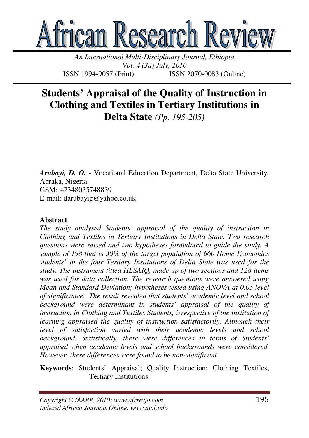

*An International Multi-Disciplinary Journal, Ethiopia Vol. 4 (3a) July, 2010*  ISSN 1994-9057 (Print) ISSN 2070-0083 (Online)

# **Students' Appraisal of the Quality of Instruction in Clothing and Textiles in Tertiary Institutions in Delta State** *(Pp. 195-205)*

*Arubayi, D. O.* **-** Vocational Education Department, Delta State University, Abraka, Nigeria GSM: +2348035748839 E-mail: darubayig@yahoo.co.uk

#### **Abstract**

*The study analysed Students' appraisal of the quality of instruction in Clothing and Textiles in Tertiary Institutions in Delta State. Two research questions were raised and two hypotheses formulated to guide the study. A sample of 198 that is 30% of the target population of 660 Home Economics students' in the four Tertiary Institutions of Delta State was used for the study. The instrument titled HESAIQ, made up of two sections and 128 items was used for data collection. The research questions were answered using Mean and Standard Deviation; hypotheses tested using ANOVA at 0.05 level of significance. The result revealed that students' academic level and school background were determinant in students' appraisal of the quality of instruction in Clothing and Textiles Students, irrespective of the institution of learning appraised the quality of instruction satisfactorily. Although their level of satisfaction varied with their academic levels and school background. Statistically, there were differences in terms of Students' appraisal when academic levels and school backgrounds were considered. However, these differences were found to be non-significant.* 

**Keywords**: Students' Appraisal; Quality Instruction; Clothing Textiles; Tertiary Institutions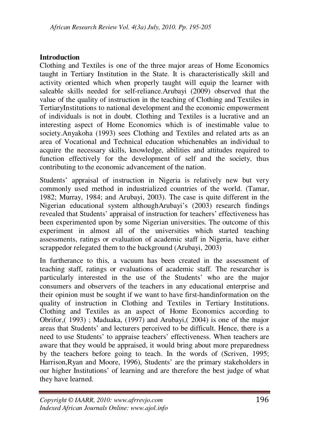# **Introduction**

Clothing and Textiles is one of the three major areas of Home Economics taught in Tertiary Institution in the State. It is characteristically skill and activity oriented which when properly taught will equip the learner with saleable skills needed for self-reliance.Arubayi (2009) observed that the value of the quality of instruction in the teaching of Clothing and Textiles in TertiaryInstitutions to national development and the economic empowerment of individuals is not in doubt. Clothing and Textiles is a lucrative and an interesting aspect of Home Economics which is of inestimable value to society.Anyakoha (1993) sees Clothing and Textiles and related arts as an area of Vocational and Technical education whichenables an individual to acquire the necessary skills, knowledge, abilities and attitudes required to function effectively for the development of self and the society, thus contributing to the economic advancement of the nation.

Students' appraisal of instruction in Nigeria is relatively new but very commonly used method in industrialized countries of the world. (Tamar, 1982; Murray, 1984; and Arubayi, 2003). The case is quite different in the Nigerian educational system althoughArubayi's (2003) research findings revealed that Students' appraisal of instruction for teachers' effectiveness has been experimented upon by some Nigerian universities. The outcome of this experiment in almost all of the universities which started teaching assessments, ratings or evaluation of academic staff in Nigeria, have either scrappedor relegated them to the background (Arubayi, 2003)

In furtherance to this, a vacuum has been created in the assessment of teaching staff, ratings or evaluations of academic staff. The researcher is particularly interested in the use of the Students' who are the major consumers and observers of the teachers in any educational enterprise and their opinion must be sought if we want to have first-handinformation on the quality of instruction in Clothing and Textiles in Tertiary Institutions. Clothing and Textiles as an aspect of Home Economics according to Obrifor,( 1993) ; Maduaka, (1997) and Arubayi,( 2004) is one of the major areas that Students' and lecturers perceived to be difficult. Hence, there is a need to use Students' to appraise teachers' effectiveness. When teachers are aware that they would be appraised, it would bring about more preparedness by the teachers before going to teach. In the words of (Scriven, 1995; Harrison,Ryan and Moore, 1996), Students' are the primary stakeholders in our higher Institutions' of learning and are therefore the best judge of what they have learned.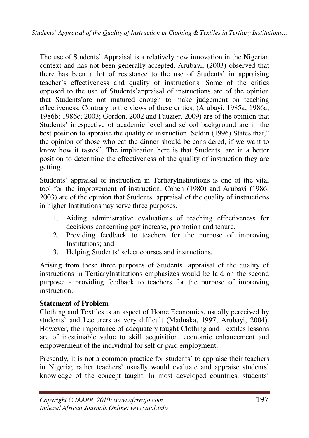The use of Students' Appraisal is a relatively new innovation in the Nigerian context and has not been generally accepted. Arubayi, (2003) observed that there has been a lot of resistance to the use of Students' in appraising teacher's effectiveness and quality of instructions. Some of the critics opposed to the use of Students'appraisal of instructions are of the opinion that Students'are not matured enough to make judgement on teaching effectiveness. Contrary to the views of these critics, (Arubayi, 1985a; 1986a; 1986b; 1986c; 2003; Gordon, 2002 and Fauzier, 2009) are of the opinion that Students' irrespective of academic level and school background are in the best position to appraise the quality of instruction. Seldin (1996) States that," the opinion of those who eat the dinner should be considered, if we want to know how it tastes". The implication here is that Students' are in a better position to determine the effectiveness of the quality of instruction they are getting.

Students' appraisal of instruction in TertiaryInstitutions is one of the vital tool for the improvement of instruction. Cohen (1980) and Arubayi (1986; 2003) are of the opinion that Students' appraisal of the quality of instructions in higher Institutionsmay serve three purposes.

- 1. Aiding administrative evaluations of teaching effectiveness for decisions concerning pay increase, promotion and tenure.
- 2. Providing feedback to teachers for the purpose of improving Institutions; and
- 3. Helping Students' select courses and instructions.

Arising from these three purposes of Students' appraisal of the quality of instructions in TertiaryInstitutions emphasizes would be laid on the second purpose: - providing feedback to teachers for the purpose of improving instruction.

# **Statement of Problem**

Clothing and Textiles is an aspect of Home Economics, usually perceived by students' and Lecturers as very difficult (Maduaka, 1997, Arubayi, 2004). However, the importance of adequately taught Clothing and Textiles lessons are of inestimable value to skill acquisition, economic enhancement and empowerment of the individual for self or paid employment.

Presently, it is not a common practice for students' to appraise their teachers in Nigeria; rather teachers' usually would evaluate and appraise students' knowledge of the concept taught. In most developed countries, students'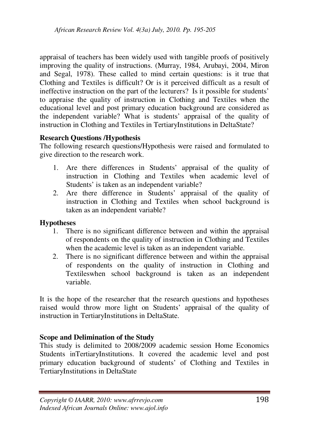appraisal of teachers has been widely used with tangible proofs of positively improving the quality of instructions. (Murray, 1984, Arubayi, 2004, Miron and Segal, 1978). These called to mind certain questions: is it true that Clothing and Textiles is difficult? Or is it perceived difficult as a result of ineffective instruction on the part of the lecturers? Is it possible for students' to appraise the quality of instruction in Clothing and Textiles when the educational level and post primary education background are considered as the independent variable? What is students' appraisal of the quality of instruction in Clothing and Textiles in TertiaryInstitutions in DeltaState?

### **Research Questions /Hypothesis**

The following research questions/Hypothesis were raised and formulated to give direction to the research work.

- 1. Are there differences in Students' appraisal of the quality of instruction in Clothing and Textiles when academic level of Students' is taken as an independent variable?
- 2. Are there difference in Students' appraisal of the quality of instruction in Clothing and Textiles when school background is taken as an independent variable?

#### **Hypotheses**

- 1. There is no significant difference between and within the appraisal of respondents on the quality of instruction in Clothing and Textiles when the academic level is taken as an independent variable.
- 2. There is no significant difference between and within the appraisal of respondents on the quality of instruction in Clothing and Textileswhen school background is taken as an independent variable.

It is the hope of the researcher that the research questions and hypotheses raised would throw more light on Students' appraisal of the quality of instruction in TertiaryInstitutions in DeltaState.

## **Scope and Delimination of the Study**

This study is delimited to 2008/2009 academic session Home Economics Students inTertiaryInstitutions. It covered the academic level and post primary education background of students' of Clothing and Textiles in TertiaryInstitutions in DeltaState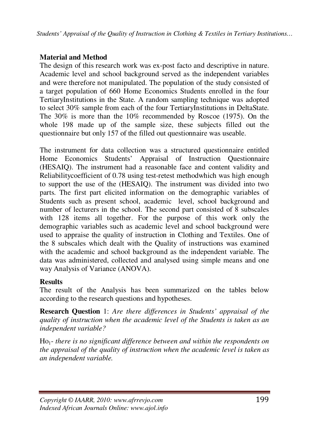*Students' Appraisal of the Quality of Instruction in Clothing & Textiles in Tertiary Institutions…*

# **Material and Method**

The design of this research work was ex-post facto and descriptive in nature. Academic level and school background served as the independent variables and were therefore not manipulated. The population of the study consisted of a target population of 660 Home Economics Students enrolled in the four TertiaryInstitutions in the State. A random sampling technique was adopted to select 30% sample from each of the four TertiaryInstitutions in DeltaState. The 30% is more than the 10% recommended by Roscoe (1975). On the whole 198 made up of the sample size, these subjects filled out the questionnaire but only 157 of the filled out questionnaire was useable.

The instrument for data collection was a structured questionnaire entitled Home Economics Students' Appraisal of Instruction Questionnaire (HESAIQ). The instrument had a reasonable face and content validity and Reliabilitycoefficient of 0.78 using test-retest methodwhich was high enough to support the use of the (HESAIQ). The instrument was divided into two parts. The first part elicited information on the demographic variables of Students such as present school, academic level, school background and number of lecturers in the school. The second part consisted of 8 subscales with 128 items all together. For the purpose of this work only the demographic variables such as academic level and school background were used to appraise the quality of instruction in Clothing and Textiles. One of the 8 subscales which dealt with the Quality of instructions was examined with the academic and school background as the independent variable. The data was administered, collected and analysed using simple means and one way Analysis of Variance (ANOVA).

# **Results**

The result of the Analysis has been summarized on the tables below according to the research questions and hypotheses.

**Research Question** 1: *Are there differences in Students' appraisal of the quality of instruction when the academic level of the Students is taken as an independent variable?* 

Ho1- *there is no significant difference between and within the respondents on the appraisal of the quality of instruction when the academic level is taken as an independent variable.*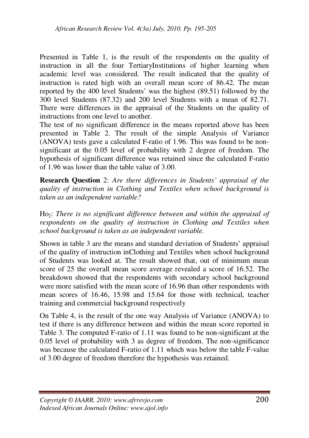Presented in Table 1, is the result of the respondents on the quality of instruction in all the four TertiaryInstitutions of higher learning when academic level was considered. The result indicated that the quality of instruction is rated high with an overall mean score of 86.42. The mean reported by the 400 level Students' was the highest (89.51) followed by the 300 level Students (87.32) and 200 level Students with a mean of 82.71. There were differences in the appraisal of the Students on the quality of instructions from one level to another.

The test of no significant difference in the means reported above has been presented in Table 2. The result of the simple Analysis of Variance (ANOVA) tests gave a calculated F-ratio of 1.96. This was found to be nonsignificant at the 0.05 level of probability with 2 degree of freedom. The hypothesis of significant difference was retained since the calculated F-ratio of 1.96 was lower than the table value of 3.00.

**Research Question** 2: *Are there differences in Students' appraisal of the quality of instruction in Clothing and Textiles when school background is taken as an independent variable?* 

Ho2: *There is no significant difference between and within the appraisal of respondents on the quality of instruction in Clothing and Textiles when school background is taken as an independent variable.* 

Shown in table 3 are the means and standard deviation of Students' appraisal of the quality of instruction inClothing and Textiles when school background of Students was looked at. The result showed that, out of minimum mean score of 25 the overall mean score average revealed a score of 16.52. The breakdown showed that the respondents with secondary school background were more satisfied with the mean score of 16.96 than other respondents with mean scores of 16.46, 15.98 and 15.64 for those with technical, teacher training and commercial background respectively

On Table 4, is the result of the one way Analysis of Variance (ANOVA) to test if there is any difference between and within the mean score reported in Table 3. The computed F-ratio of 1.11 was found to be non-significant at the 0.05 level of probability with 3 as degree of freedom. The non-significance was because the calculated F-ratio of 1.11 which was below the table F-value of 3.00 degree of freedom therefore the hypothesis was retained.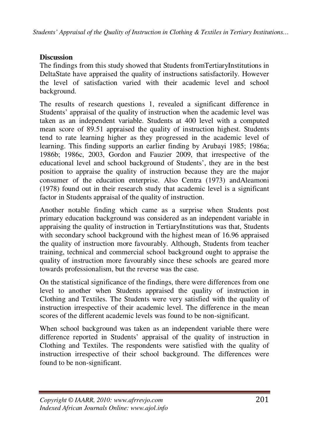## **Discussion**

The findings from this study showed that Students fromTertiaryInstitutions in DeltaState have appraised the quality of instructions satisfactorily. However the level of satisfaction varied with their academic level and school background.

The results of research questions 1, revealed a significant difference in Students' appraisal of the quality of instruction when the academic level was taken as an independent variable. Students at 400 level with a computed mean score of 89.51 appraised the quality of instruction highest. Students tend to rate learning higher as they progressed in the academic level of learning. This finding supports an earlier finding by Arubayi 1985; 1986a; 1986b; 1986c, 2003, Gordon and Fauzier 2009, that irrespective of the educational level and school background of Students', they are in the best position to appraise the quality of instruction because they are the major consumer of the education enterprise. Also Centra (1973) andAleamoni (1978) found out in their research study that academic level is a significant factor in Students appraisal of the quality of instruction.

Another notable finding which came as a surprise when Students post primary education background was considered as an independent variable in appraising the quality of instruction in TertiaryInstitutions was that, Students with secondary school background with the highest mean of 16.96 appraised the quality of instruction more favourably. Although, Students from teacher training, technical and commercial school background ought to appraise the quality of instruction more favourably since these schools are geared more towards professionalism, but the reverse was the case.

On the statistical significance of the findings, there were differences from one level to another when Students appraised the quality of instruction in Clothing and Textiles. The Students were very satisfied with the quality of instruction irrespective of their academic level. The difference in the mean scores of the different academic levels was found to be non-significant.

When school background was taken as an independent variable there were difference reported in Students' appraisal of the quality of instruction in Clothing and Textiles. The respondents were satisfied with the quality of instruction irrespective of their school background. The differences were found to be non-significant.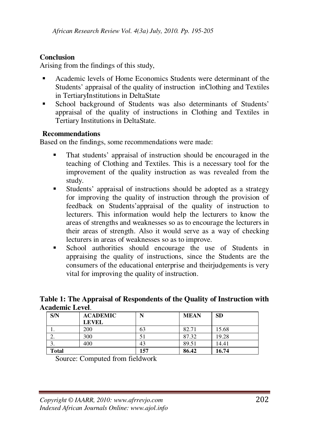## **Conclusion**

Arising from the findings of this study,

- Academic levels of Home Economics Students were determinant of the Students' appraisal of the quality of instruction inClothing and Textiles in TertiaryInstitutions in DeltaState
- School background of Students was also determinants of Students' appraisal of the quality of instructions in Clothing and Textiles in Tertiary Institutions in DeltaState.

## **Recommendations**

Based on the findings, some recommendations were made:

- That students' appraisal of instruction should be encouraged in the teaching of Clothing and Textiles. This is a necessary tool for the improvement of the quality instruction as was revealed from the study.
- Students' appraisal of instructions should be adopted as a strategy for improving the quality of instruction through the provision of feedback on Students'appraisal of the quality of instruction to lecturers. This information would help the lecturers to know the areas of strengths and weaknesses so as to encourage the lecturers in their areas of strength. Also it would serve as a way of checking lecturers in areas of weaknesses so as to improve.
- School authorities should encourage the use of Students in appraising the quality of instructions, since the Students are the consumers of the educational enterprise and theirjudgements is very vital for improving the quality of instruction.

#### **Table 1: The Appraisal of Respondents of the Quality of Instruction with Academic Level**.

| S/N          | <b>ACADEMIC</b> | N   | <b>MEAN</b> | <b>SD</b> |
|--------------|-----------------|-----|-------------|-----------|
|              | <b>LEVEL</b>    |     |             |           |
|              | 200             | 63  | 82.71       | 15.68     |
| ۷.           | 300             |     | 87.32       | 19.28     |
| э.           | 400             | 43  | 89.51       | 14.41     |
| <b>Total</b> |                 | 157 | 86.42       | 16.74     |

Source: Computed from fieldwork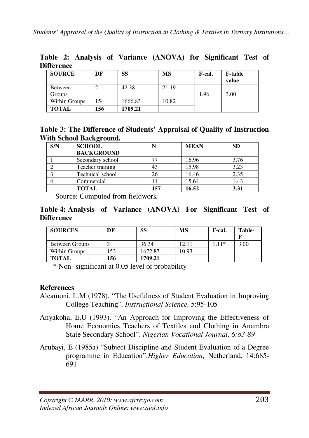| <b>Difference</b> |    |         |       |        |                         |  |
|-------------------|----|---------|-------|--------|-------------------------|--|
| <b>SOURCE</b>     | DF | SS      | MS    | F-cal. | <b>F-table</b><br>value |  |
| Between<br>Groups |    | 42.38   | 21.19 | 1.96   | 3.00                    |  |
| Within Groups     | 54 | 1666.83 | 10.82 |        |                         |  |

**Table 2: Analysis of Variance (ANOVA) for Significant Test of Difference** 

| Table 3: The Difference of Students' Appraisal of Quality of Instruction |  |  |
|--------------------------------------------------------------------------|--|--|
| With School Background.                                                  |  |  |

| S/N | <b>SCHOOL</b>     |     | <b>MEAN</b> | <b>SD</b> |
|-----|-------------------|-----|-------------|-----------|
|     | <b>BACKGROUND</b> |     |             |           |
|     | Secondary school  |     | 16.96       | 3.76      |
|     | Teacher training  | 43  | 15.98       | 3.23      |
| 3.  | Technical school  | 26  | 16.46       | 2.35      |
|     | Commercial        |     | 15.64       | 1.43      |
|     | <b>TOTAL</b>      | 157 | 16.52       | 3.31      |

Source: Computed from fieldwork

**TOTAL 156 1709.21** 

### **Table 4: Analysis of Variance (ANOVA) For Significant Test of Difference**

| <b>SOURCES</b> | DF  | SS      | МS    | F-cal. | Table- |
|----------------|-----|---------|-------|--------|--------|
| Between Groups |     | 36.34   | 12.11 | $.11*$ | 3.00   |
| Within Groups  | 53ء | 1672.87 | 10.93 |        |        |
| <b>TOTAL</b>   | 156 | 1709.21 |       |        |        |

\* Non- significant at 0.05 level of probability

## **References**

- Aleamoni, L.M (1978). "The Usefulness of Student Evaluation in Improving College Teaching". *Instructional Science,* 5:95-105
- Anyakoha, E.U (1993). "An Approach for Improving the Effectiveness of Home Economics Teachers of Textiles and Clothing in Anambra State Secondary School". *Nigerian Vocational Journal, 6:83-89*
- Arubayi, E (1985a) "Subject Discipline and Student Evaluation of a Degree programme in Education".*Higher Education*, Netherland, 14:685- 691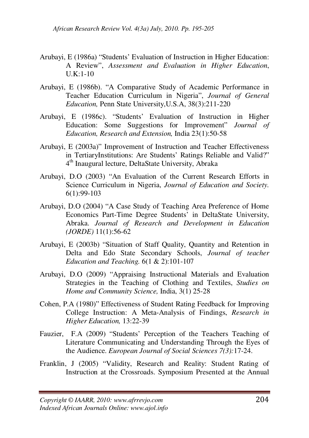- Arubayi, E (1986a) "Students' Evaluation of Instruction in Higher Education: A Review", *Assessment and Evaluation in Higher Education*,  $U.K:1-10$
- Arubayi, E (1986b). "A Comparative Study of Academic Performance in Teacher Education Curriculum in Nigeria", *Journal of General Education,* Penn State University,U.S.A, 38(3):211-220
- Arubayi, E (1986c). "Students' Evaluation of Instruction in Higher Education: Some Suggestions for Improvement" *Journal of Education, Research and Extension,* India 23(1):50-58
- Arubayi, E (2003a)" Improvement of Instruction and Teacher Effectiveness in TertiaryInstitutions: Are Students' Ratings Reliable and Valid?" 4 th Inaugural lecture, DeltaState University, Abraka
- Arubayi, D.O (2003) "An Evaluation of the Current Research Efforts in Science Curriculum in Nigeria, *Journal of Education and Society.* 6(1):99-103
- Arubayi, D.O (2004) "A Case Study of Teaching Area Preference of Home Economics Part-Time Degree Students' in DeltaState University, Abraka. *Journal of Research and Development in Education (JORDE)* 11(1):56-62
- Arubayi, E (2003b) "Situation of Staff Quality, Quantity and Retention in Delta and Edo State Secondary Schools, *Journal of teacher Education and Teaching.* 6(1 & 2):101-107
- Arubayi, D.O (2009) "Appraising Instructional Materials and Evaluation Strategies in the Teaching of Clothing and Textiles, *Studies on Home and Community Science,* India, 3(1) 25-28
- Cohen, P.A (1980)" Effectiveness of Student Rating Feedback for Improving College Instruction: A Meta-Analysis of Findings, *Research in Higher Education,* 13:22-39
- Fauzier, F.A (2009) "Students' Perception of the Teachers Teaching of Literature Communicating and Understanding Through the Eyes of the Audience. *European Journal of Social Sciences 7(3):*17-24.
- Franklin, J (2005) "Validity, Research and Reality: Student Rating of Instruction at the Crossroads. Symposium Presented at the Annual